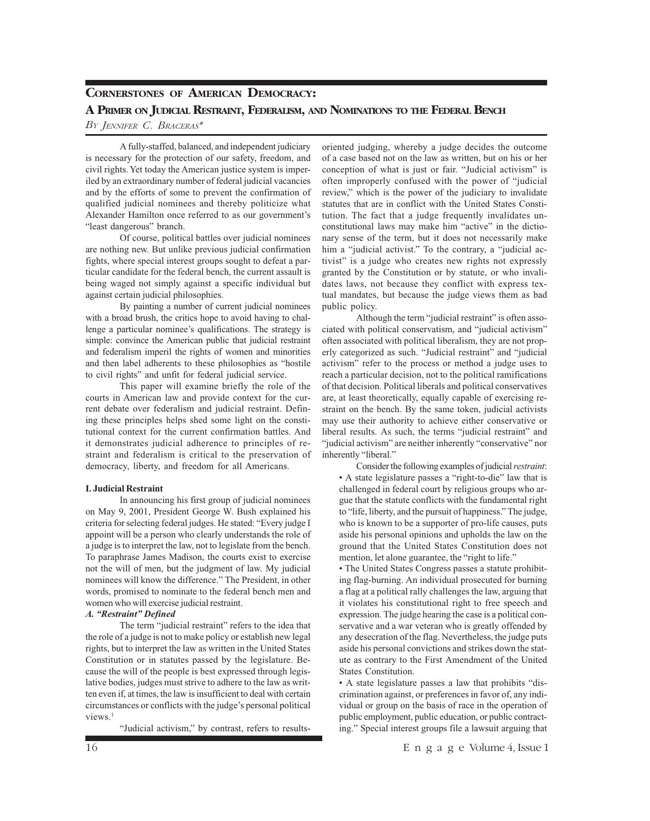# **CORNERSTONES OF AMERICAN DEMOCRACY:**

# **A PRIMER ON JUDICIAL RESTRAINT, FEDERALISM, AND NOMINATIONS TO THE FEDERAL BENCH**

# *BY JENNIFER C. BRACERAS\**

A fully-staffed, balanced, and independent judiciary is necessary for the protection of our safety, freedom, and civil rights. Yet today the American justice system is imperiled by an extraordinary number of federal judicial vacancies and by the efforts of some to prevent the confirmation of qualified judicial nominees and thereby politicize what Alexander Hamilton once referred to as our government's "least dangerous" branch.

Of course, political battles over judicial nominees are nothing new. But unlike previous judicial confirmation fights, where special interest groups sought to defeat a particular candidate for the federal bench, the current assault is being waged not simply against a specific individual but against certain judicial philosophies.

By painting a number of current judicial nominees with a broad brush, the critics hope to avoid having to challenge a particular nominee's qualifications. The strategy is simple: convince the American public that judicial restraint and federalism imperil the rights of women and minorities and then label adherents to these philosophies as "hostile to civil rights" and unfit for federal judicial service.

This paper will examine briefly the role of the courts in American law and provide context for the current debate over federalism and judicial restraint. Defining these principles helps shed some light on the constitutional context for the current confirmation battles. And it demonstrates judicial adherence to principles of restraint and federalism is critical to the preservation of democracy, liberty, and freedom for all Americans.

#### **I. Judicial Restraint**

In announcing his first group of judicial nominees on May 9, 2001, President George W. Bush explained his criteria for selecting federal judges. He stated: "Every judge I appoint will be a person who clearly understands the role of a judge is to interpret the law, not to legislate from the bench. To paraphrase James Madison, the courts exist to exercise not the will of men, but the judgment of law. My judicial nominees will know the difference." The President, in other words, promised to nominate to the federal bench men and women who will exercise judicial restraint.

## *A. "Restraint" Defined*

The term "judicial restraint" refers to the idea that the role of a judge is not to make policy or establish new legal rights, but to interpret the law as written in the United States Constitution or in statutes passed by the legislature. Because the will of the people is best expressed through legislative bodies, judges must strive to adhere to the law as written even if, at times, the law is insufficient to deal with certain circumstances or conflicts with the judge's personal political views.<sup>1</sup>

"Judicial activism," by contrast, refers to results-

oriented judging, whereby a judge decides the outcome of a case based not on the law as written, but on his or her conception of what is just or fair. "Judicial activism" is often improperly confused with the power of "judicial review," which is the power of the judiciary to invalidate statutes that are in conflict with the United States Constitution. The fact that a judge frequently invalidates unconstitutional laws may make him "active" in the dictionary sense of the term, but it does not necessarily make him a "judicial activist." To the contrary, a "judicial activist" is a judge who creates new rights not expressly granted by the Constitution or by statute, or who invalidates laws, not because they conflict with express textual mandates, but because the judge views them as bad public policy.

Although the term "judicial restraint" is often associated with political conservatism, and "judicial activism" often associated with political liberalism, they are not properly categorized as such. "Judicial restraint" and "judicial activism" refer to the process or method a judge uses to reach a particular decision, not to the political ramifications of that decision. Political liberals and political conservatives are, at least theoretically, equally capable of exercising restraint on the bench. By the same token, judicial activists may use their authority to achieve either conservative or liberal results. As such, the terms "judicial restraint" and "judicial activism" are neither inherently "conservative" nor inherently "liberal."

Consider the following examples of judicial *restraint*: • A state legislature passes a "right-to-die" law that is challenged in federal court by religious groups who argue that the statute conflicts with the fundamental right to "life, liberty, and the pursuit of happiness." The judge, who is known to be a supporter of pro-life causes, puts aside his personal opinions and upholds the law on the ground that the United States Constitution does not mention, let alone guarantee, the "right to life."

• The United States Congress passes a statute prohibiting flag-burning. An individual prosecuted for burning a flag at a political rally challenges the law, arguing that it violates his constitutional right to free speech and expression. The judge hearing the case is a political conservative and a war veteran who is greatly offended by any desecration of the flag. Nevertheless, the judge puts aside his personal convictions and strikes down the statute as contrary to the First Amendment of the United States Constitution.

• A state legislature passes a law that prohibits "discrimination against, or preferences in favor of, any individual or group on the basis of race in the operation of public employment, public education, or public contracting." Special interest groups file a lawsuit arguing that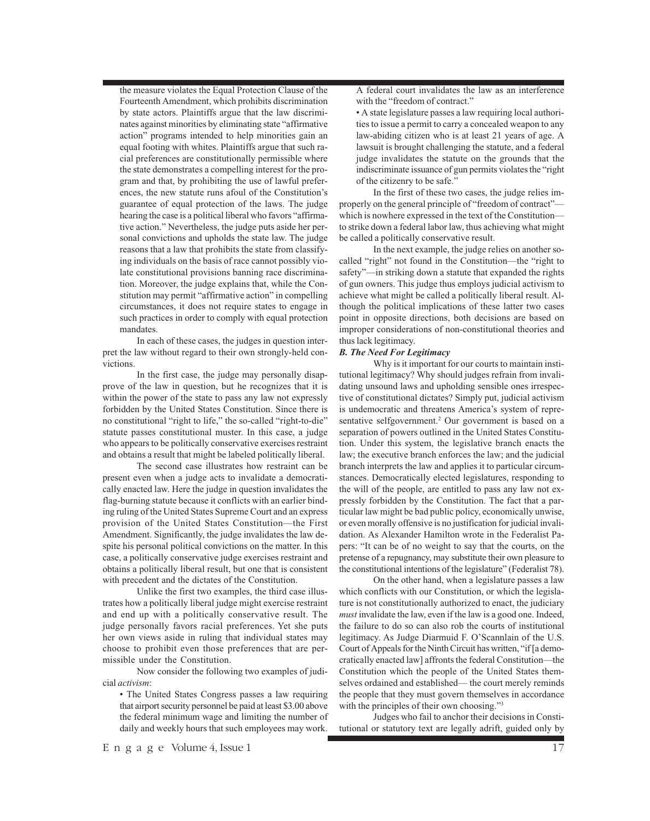the measure violates the Equal Protection Clause of the Fourteenth Amendment, which prohibits discrimination by state actors. Plaintiffs argue that the law discriminates against minorities by eliminating state "affirmative action" programs intended to help minorities gain an equal footing with whites. Plaintiffs argue that such racial preferences are constitutionally permissible where the state demonstrates a compelling interest for the program and that, by prohibiting the use of lawful preferences, the new statute runs afoul of the Constitution's guarantee of equal protection of the laws. The judge hearing the case is a political liberal who favors "affirmative action." Nevertheless, the judge puts aside her personal convictions and upholds the state law. The judge reasons that a law that prohibits the state from classifying individuals on the basis of race cannot possibly violate constitutional provisions banning race discrimination. Moreover, the judge explains that, while the Constitution may permit "affirmative action" in compelling circumstances, it does not require states to engage in such practices in order to comply with equal protection mandates. In each of these cases, the judges in question inter-

pret the law without regard to their own strongly-held convictions.

In the first case, the judge may personally disapprove of the law in question, but he recognizes that it is within the power of the state to pass any law not expressly forbidden by the United States Constitution. Since there is no constitutional "right to life," the so-called "right-to-die" statute passes constitutional muster. In this case, a judge who appears to be politically conservative exercises restraint and obtains a result that might be labeled politically liberal.

The second case illustrates how restraint can be present even when a judge acts to invalidate a democratically enacted law. Here the judge in question invalidates the flag-burning statute because it conflicts with an earlier binding ruling of the United States Supreme Court and an express provision of the United States Constitution—the First Amendment. Significantly, the judge invalidates the law despite his personal political convictions on the matter. In this case, a politically conservative judge exercises restraint and obtains a politically liberal result, but one that is consistent with precedent and the dictates of the Constitution.

Unlike the first two examples, the third case illustrates how a politically liberal judge might exercise restraint and end up with a politically conservative result. The judge personally favors racial preferences. Yet she puts her own views aside in ruling that individual states may choose to prohibit even those preferences that are permissible under the Constitution.

Now consider the following two examples of judicial *activism*:

• The United States Congress passes a law requiring that airport security personnel be paid at least \$3.00 above the federal minimum wage and limiting the number of daily and weekly hours that such employees may work.

A federal court invalidates the law as an interference with the "freedom of contract."

• A state legislature passes a law requiring local authorities to issue a permit to carry a concealed weapon to any law-abiding citizen who is at least 21 years of age. A lawsuit is brought challenging the statute, and a federal judge invalidates the statute on the grounds that the indiscriminate issuance of gun permits violates the "right of the citizenry to be safe."

In the first of these two cases, the judge relies improperly on the general principle of "freedom of contract" which is nowhere expressed in the text of the Constitution to strike down a federal labor law, thus achieving what might be called a politically conservative result.

In the next example, the judge relies on another socalled "right" not found in the Constitution—the "right to safety"—in striking down a statute that expanded the rights of gun owners. This judge thus employs judicial activism to achieve what might be called a politically liberal result. Although the political implications of these latter two cases point in opposite directions, both decisions are based on improper considerations of non-constitutional theories and thus lack legitimacy.

## *B. The Need For Legitimacy*

Why is it important for our courts to maintain institutional legitimacy? Why should judges refrain from invalidating unsound laws and upholding sensible ones irrespective of constitutional dictates? Simply put, judicial activism is undemocratic and threatens America's system of representative selfgovernment.<sup>2</sup> Our government is based on a separation of powers outlined in the United States Constitution. Under this system, the legislative branch enacts the law; the executive branch enforces the law; and the judicial branch interprets the law and applies it to particular circumstances. Democratically elected legislatures, responding to the will of the people, are entitled to pass any law not expressly forbidden by the Constitution. The fact that a particular law might be bad public policy, economically unwise, or even morally offensive is no justification for judicial invalidation. As Alexander Hamilton wrote in the Federalist Papers: "It can be of no weight to say that the courts, on the pretense of a repugnancy, may substitute their own pleasure to the constitutional intentions of the legislature" (Federalist 78).

On the other hand, when a legislature passes a law which conflicts with our Constitution, or which the legislature is not constitutionally authorized to enact, the judiciary *must* invalidate the law, even if the law is a good one. Indeed, the failure to do so can also rob the courts of institutional legitimacy. As Judge Diarmuid F. O'Scannlain of the U.S. Court of Appeals for the Ninth Circuit has written, "if [a democratically enacted law] affronts the federal Constitution—the Constitution which the people of the United States themselves ordained and established— the court merely reminds the people that they must govern themselves in accordance with the principles of their own choosing."<sup>3</sup>

Judges who fail to anchor their decisions in Constitutional or statutory text are legally adrift, guided only by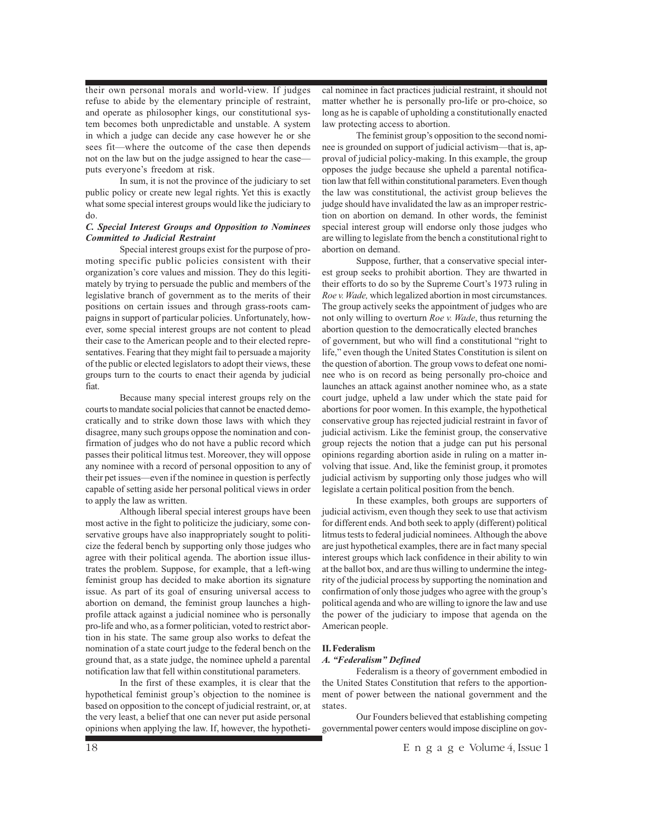their own personal morals and world-view. If judges refuse to abide by the elementary principle of restraint, and operate as philosopher kings, our constitutional system becomes both unpredictable and unstable. A system in which a judge can decide any case however he or she sees fit—where the outcome of the case then depends not on the law but on the judge assigned to hear the case puts everyone's freedom at risk.

In sum, it is not the province of the judiciary to set public policy or create new legal rights. Yet this is exactly what some special interest groups would like the judiciary to do.

### *C. Special Interest Groups and Opposition to Nominees Committed to Judicial Restraint*

Special interest groups exist for the purpose of promoting specific public policies consistent with their organization's core values and mission. They do this legitimately by trying to persuade the public and members of the legislative branch of government as to the merits of their positions on certain issues and through grass-roots campaigns in support of particular policies. Unfortunately, however, some special interest groups are not content to plead their case to the American people and to their elected representatives. Fearing that they might fail to persuade a majority of the public or elected legislators to adopt their views, these groups turn to the courts to enact their agenda by judicial fiat.

Because many special interest groups rely on the courts to mandate social policies that cannot be enacted democratically and to strike down those laws with which they disagree, many such groups oppose the nomination and confirmation of judges who do not have a public record which passes their political litmus test. Moreover, they will oppose any nominee with a record of personal opposition to any of their pet issues—even if the nominee in question is perfectly capable of setting aside her personal political views in order to apply the law as written.

Although liberal special interest groups have been most active in the fight to politicize the judiciary, some conservative groups have also inappropriately sought to politicize the federal bench by supporting only those judges who agree with their political agenda. The abortion issue illustrates the problem. Suppose, for example, that a left-wing feminist group has decided to make abortion its signature issue. As part of its goal of ensuring universal access to abortion on demand, the feminist group launches a highprofile attack against a judicial nominee who is personally pro-life and who, as a former politician, voted to restrict abortion in his state. The same group also works to defeat the nomination of a state court judge to the federal bench on the ground that, as a state judge, the nominee upheld a parental notification law that fell within constitutional parameters.

In the first of these examples, it is clear that the hypothetical feminist group's objection to the nominee is based on opposition to the concept of judicial restraint, or, at the very least, a belief that one can never put aside personal opinions when applying the law. If, however, the hypotheti-

cal nominee in fact practices judicial restraint, it should not matter whether he is personally pro-life or pro-choice, so long as he is capable of upholding a constitutionally enacted law protecting access to abortion.

The feminist group's opposition to the second nominee is grounded on support of judicial activism—that is, approval of judicial policy-making. In this example, the group opposes the judge because she upheld a parental notification law that fell within constitutional parameters. Even though the law was constitutional, the activist group believes the judge should have invalidated the law as an improper restriction on abortion on demand. In other words, the feminist special interest group will endorse only those judges who are willing to legislate from the bench a constitutional right to abortion on demand.

Suppose, further, that a conservative special interest group seeks to prohibit abortion. They are thwarted in their efforts to do so by the Supreme Court's 1973 ruling in *Roe v. Wade,* which legalized abortion in most circumstances. The group actively seeks the appointment of judges who are not only willing to overturn *Roe v. Wade*, thus returning the abortion question to the democratically elected branches of government, but who will find a constitutional "right to life," even though the United States Constitution is silent on the question of abortion. The group vows to defeat one nominee who is on record as being personally pro-choice and launches an attack against another nominee who, as a state court judge, upheld a law under which the state paid for abortions for poor women. In this example, the hypothetical conservative group has rejected judicial restraint in favor of judicial activism. Like the feminist group, the conservative group rejects the notion that a judge can put his personal opinions regarding abortion aside in ruling on a matter involving that issue. And, like the feminist group, it promotes judicial activism by supporting only those judges who will legislate a certain political position from the bench.

In these examples, both groups are supporters of judicial activism, even though they seek to use that activism for different ends. And both seek to apply (different) political litmus tests to federal judicial nominees. Although the above are just hypothetical examples, there are in fact many special interest groups which lack confidence in their ability to win at the ballot box, and are thus willing to undermine the integrity of the judicial process by supporting the nomination and confirmation of only those judges who agree with the group's political agenda and who are willing to ignore the law and use the power of the judiciary to impose that agenda on the American people.

#### **II. Federalism**

#### *A. "Federalism" Defined*

Federalism is a theory of government embodied in the United States Constitution that refers to the apportionment of power between the national government and the states.

Our Founders believed that establishing competing governmental power centers would impose discipline on gov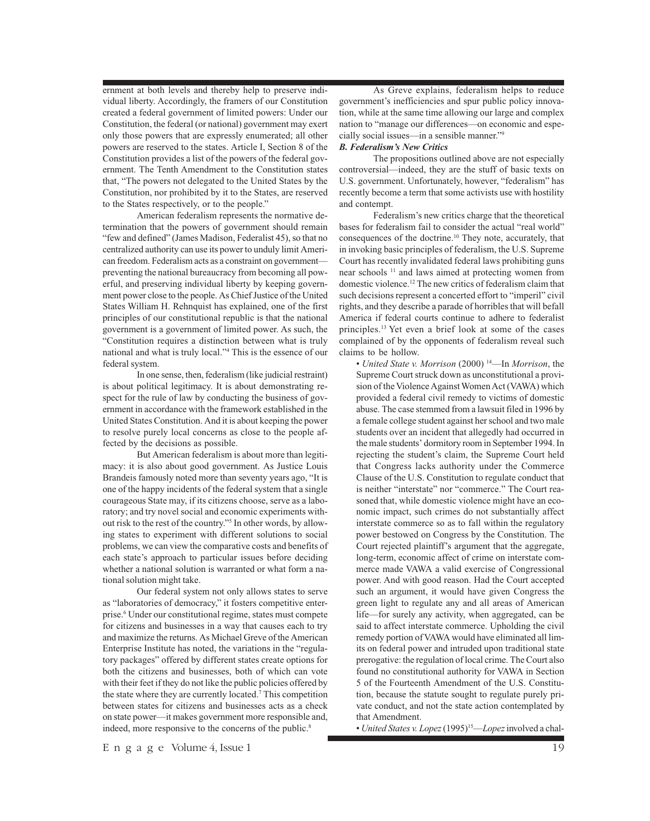ernment at both levels and thereby help to preserve individual liberty. Accordingly, the framers of our Constitution created a federal government of limited powers: Under our Constitution, the federal (or national) government may exert only those powers that are expressly enumerated; all other powers are reserved to the states. Article I, Section 8 of the Constitution provides a list of the powers of the federal government. The Tenth Amendment to the Constitution states that, "The powers not delegated to the United States by the Constitution, nor prohibited by it to the States, are reserved to the States respectively, or to the people."

American federalism represents the normative determination that the powers of government should remain "few and defined" (James Madison, Federalist 45), so that no centralized authority can use its power to unduly limit American freedom. Federalism acts as a constraint on government preventing the national bureaucracy from becoming all powerful, and preserving individual liberty by keeping government power close to the people. As Chief Justice of the United States William H. Rehnquist has explained, one of the first principles of our constitutional republic is that the national government is a government of limited power. As such, the "Constitution requires a distinction between what is truly national and what is truly local."4 This is the essence of our federal system.

In one sense, then, federalism (like judicial restraint) is about political legitimacy. It is about demonstrating respect for the rule of law by conducting the business of government in accordance with the framework established in the United States Constitution. And it is about keeping the power to resolve purely local concerns as close to the people affected by the decisions as possible.

But American federalism is about more than legitimacy: it is also about good government. As Justice Louis Brandeis famously noted more than seventy years ago, "It is one of the happy incidents of the federal system that a single courageous State may, if its citizens choose, serve as a laboratory; and try novel social and economic experiments without risk to the rest of the country."5 In other words, by allowing states to experiment with different solutions to social problems, we can view the comparative costs and benefits of each state's approach to particular issues before deciding whether a national solution is warranted or what form a national solution might take.

Our federal system not only allows states to serve as "laboratories of democracy," it fosters competitive enterprise.6 Under our constitutional regime, states must compete for citizens and businesses in a way that causes each to try and maximize the returns. As Michael Greve of the American Enterprise Institute has noted, the variations in the "regulatory packages" offered by different states create options for both the citizens and businesses, both of which can vote with their feet if they do not like the public policies offered by the state where they are currently located.7 This competition between states for citizens and businesses acts as a check on state power—it makes government more responsible and, indeed, more responsive to the concerns of the public.<sup>8</sup>

As Greve explains, federalism helps to reduce government's inefficiencies and spur public policy innovation, while at the same time allowing our large and complex nation to "manage our differences—on economic and especially social issues—in a sensible manner."9

#### *B. Federalism's New Critics*

The propositions outlined above are not especially controversial—indeed, they are the stuff of basic texts on U.S. government. Unfortunately, however, "federalism" has recently become a term that some activists use with hostility and contempt.

Federalism's new critics charge that the theoretical bases for federalism fail to consider the actual "real world" consequences of the doctrine.<sup>10</sup> They note, accurately, that in invoking basic principles of federalism, the U.S. Supreme Court has recently invalidated federal laws prohibiting guns near schools 11 and laws aimed at protecting women from domestic violence.12 The new critics of federalism claim that such decisions represent a concerted effort to "imperil" civil rights, and they describe a parade of horribles that will befall America if federal courts continue to adhere to federalist principles.13 Yet even a brief look at some of the cases complained of by the opponents of federalism reveal such claims to be hollow.

• *United State v. Morrison* (2000) 14—In *Morrison*, the Supreme Court struck down as unconstitutional a provision of the Violence Against Women Act (VAWA) which provided a federal civil remedy to victims of domestic abuse. The case stemmed from a lawsuit filed in 1996 by a female college student against her school and two male students over an incident that allegedly had occurred in the male students' dormitory room in September 1994. In rejecting the student's claim, the Supreme Court held that Congress lacks authority under the Commerce Clause of the U.S. Constitution to regulate conduct that is neither "interstate" nor "commerce." The Court reasoned that, while domestic violence might have an economic impact, such crimes do not substantially affect interstate commerce so as to fall within the regulatory power bestowed on Congress by the Constitution. The Court rejected plaintiff's argument that the aggregate, long-term, economic affect of crime on interstate commerce made VAWA a valid exercise of Congressional power. And with good reason. Had the Court accepted such an argument, it would have given Congress the green light to regulate any and all areas of American life—for surely any activity, when aggregated, can be said to affect interstate commerce. Upholding the civil remedy portion of VAWA would have eliminated all limits on federal power and intruded upon traditional state prerogative: the regulation of local crime. The Court also found no constitutional authority for VAWA in Section 5 of the Fourteenth Amendment of the U.S. Constitution, because the statute sought to regulate purely private conduct, and not the state action contemplated by that Amendment.

• *United States v. Lopez* (1995)15—*Lopez*involved a chal-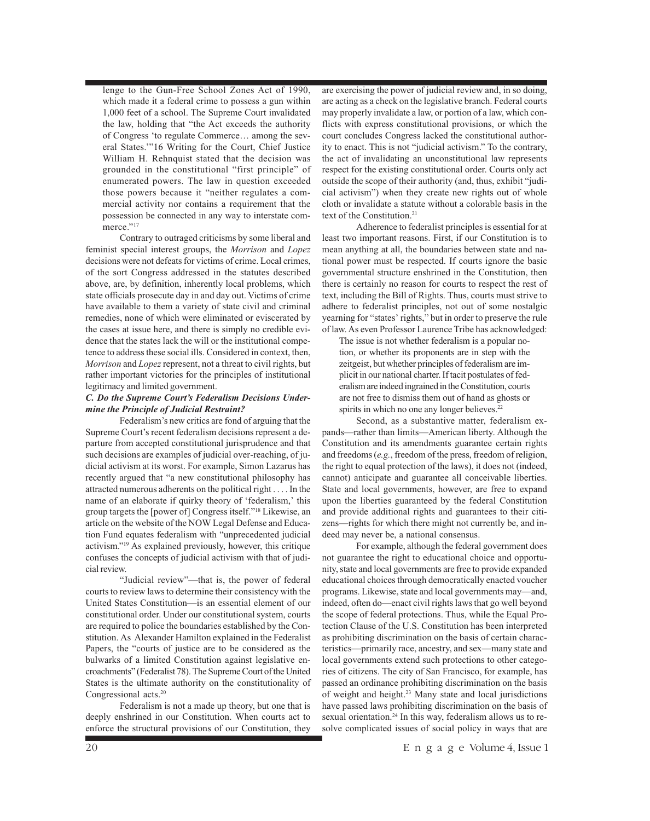lenge to the Gun-Free School Zones Act of 1990, which made it a federal crime to possess a gun within 1,000 feet of a school. The Supreme Court invalidated the law, holding that "the Act exceeds the authority of Congress 'to regulate Commerce… among the several States.'"16 Writing for the Court, Chief Justice William H. Rehnquist stated that the decision was grounded in the constitutional "first principle" of enumerated powers. The law in question exceeded those powers because it "neither regulates a commercial activity nor contains a requirement that the possession be connected in any way to interstate commerce."<sup>17</sup>

Contrary to outraged criticisms by some liberal and feminist special interest groups, the *Morrison* and *Lopez* decisions were not defeats for victims of crime. Local crimes, of the sort Congress addressed in the statutes described above, are, by definition, inherently local problems, which state officials prosecute day in and day out. Victims of crime have available to them a variety of state civil and criminal remedies, none of which were eliminated or eviscerated by the cases at issue here, and there is simply no credible evidence that the states lack the will or the institutional competence to address these social ills. Considered in context, then, *Morrison* and *Lopez*represent, not a threat to civil rights, but rather important victories for the principles of institutional legitimacy and limited government.

### *C. Do the Supreme Court's Federalism Decisions Undermine the Principle of Judicial Restraint?*

Federalism's new critics are fond of arguing that the Supreme Court's recent federalism decisions represent a departure from accepted constitutional jurisprudence and that such decisions are examples of judicial over-reaching, of judicial activism at its worst. For example, Simon Lazarus has recently argued that "a new constitutional philosophy has attracted numerous adherents on the political right . . . . In the name of an elaborate if quirky theory of 'federalism,' this group targets the [power of] Congress itself."18 Likewise, an article on the website of the NOW Legal Defense and Education Fund equates federalism with "unprecedented judicial activism."19 As explained previously, however, this critique confuses the concepts of judicial activism with that of judicial review.

"Judicial review"—that is, the power of federal courts to review laws to determine their consistency with the United States Constitution—is an essential element of our constitutional order. Under our constitutional system, courts are required to police the boundaries established by the Constitution. As Alexander Hamilton explained in the Federalist Papers, the "courts of justice are to be considered as the bulwarks of a limited Constitution against legislative encroachments" (Federalist 78). The Supreme Court of the United States is the ultimate authority on the constitutionality of Congressional acts.<sup>20</sup>

Federalism is not a made up theory, but one that is deeply enshrined in our Constitution. When courts act to enforce the structural provisions of our Constitution, they are exercising the power of judicial review and, in so doing, are acting as a check on the legislative branch. Federal courts may properly invalidate a law, or portion of a law, which conflicts with express constitutional provisions, or which the court concludes Congress lacked the constitutional authority to enact. This is not "judicial activism." To the contrary, the act of invalidating an unconstitutional law represents respect for the existing constitutional order. Courts only act outside the scope of their authority (and, thus, exhibit "judicial activism") when they create new rights out of whole cloth or invalidate a statute without a colorable basis in the text of the Constitution.<sup>21</sup>

Adherence to federalist principles is essential for at least two important reasons. First, if our Constitution is to mean anything at all, the boundaries between state and national power must be respected. If courts ignore the basic governmental structure enshrined in the Constitution, then there is certainly no reason for courts to respect the rest of text, including the Bill of Rights. Thus, courts must strive to adhere to federalist principles, not out of some nostalgic yearning for "states' rights," but in order to preserve the rule of law. As even Professor Laurence Tribe has acknowledged:

The issue is not whether federalism is a popular notion, or whether its proponents are in step with the zeitgeist, but whether principles of federalism are implicit in our national charter. If tacit postulates of federalism are indeed ingrained in the Constitution, courts are not free to dismiss them out of hand as ghosts or spirits in which no one any longer believes.<sup>22</sup>

Second, as a substantive matter, federalism expands—rather than limits—American liberty. Although the Constitution and its amendments guarantee certain rights and freedoms (*e.g.*, freedom of the press, freedom of religion, the right to equal protection of the laws), it does not (indeed, cannot) anticipate and guarantee all conceivable liberties. State and local governments, however, are free to expand upon the liberties guaranteed by the federal Constitution and provide additional rights and guarantees to their citizens—rights for which there might not currently be, and indeed may never be, a national consensus.

For example, although the federal government does not guarantee the right to educational choice and opportunity, state and local governments are free to provide expanded educational choices through democratically enacted voucher programs. Likewise, state and local governments may—and, indeed, often do—enact civil rights laws that go well beyond the scope of federal protections. Thus, while the Equal Protection Clause of the U.S. Constitution has been interpreted as prohibiting discrimination on the basis of certain characteristics—primarily race, ancestry, and sex—many state and local governments extend such protections to other categories of citizens. The city of San Francisco, for example, has passed an ordinance prohibiting discrimination on the basis of weight and height.23 Many state and local jurisdictions have passed laws prohibiting discrimination on the basis of sexual orientation.<sup>24</sup> In this way, federalism allows us to resolve complicated issues of social policy in ways that are